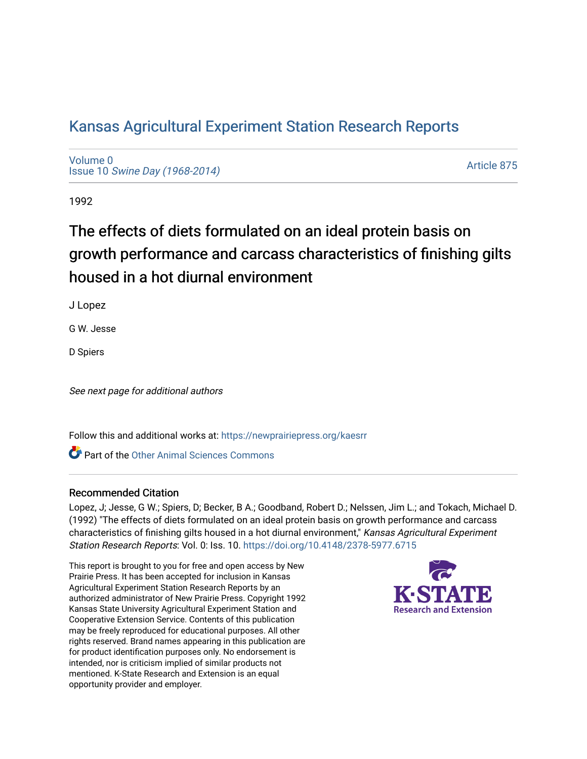# [Kansas Agricultural Experiment Station Research Reports](https://newprairiepress.org/kaesrr)

[Volume 0](https://newprairiepress.org/kaesrr/vol0) Issue 10 [Swine Day \(1968-2014\)](https://newprairiepress.org/kaesrr/vol0/iss10)

[Article 875](https://newprairiepress.org/kaesrr/vol0/iss10/875) 

1992

# The effects of diets formulated on an ideal protein basis on growth performance and carcass characteristics of finishing gilts housed in a hot diurnal environment

J Lopez

G W. Jesse

D Spiers

See next page for additional authors

Follow this and additional works at: [https://newprairiepress.org/kaesrr](https://newprairiepress.org/kaesrr?utm_source=newprairiepress.org%2Fkaesrr%2Fvol0%2Fiss10%2F875&utm_medium=PDF&utm_campaign=PDFCoverPages) 

**C** Part of the [Other Animal Sciences Commons](http://network.bepress.com/hgg/discipline/82?utm_source=newprairiepress.org%2Fkaesrr%2Fvol0%2Fiss10%2F875&utm_medium=PDF&utm_campaign=PDFCoverPages)

### Recommended Citation

Lopez, J; Jesse, G W.; Spiers, D; Becker, B A.; Goodband, Robert D.; Nelssen, Jim L.; and Tokach, Michael D. (1992) "The effects of diets formulated on an ideal protein basis on growth performance and carcass characteristics of finishing gilts housed in a hot diurnal environment," Kansas Agricultural Experiment Station Research Reports: Vol. 0: Iss. 10. <https://doi.org/10.4148/2378-5977.6715>

This report is brought to you for free and open access by New Prairie Press. It has been accepted for inclusion in Kansas Agricultural Experiment Station Research Reports by an authorized administrator of New Prairie Press. Copyright 1992 Kansas State University Agricultural Experiment Station and Cooperative Extension Service. Contents of this publication may be freely reproduced for educational purposes. All other rights reserved. Brand names appearing in this publication are for product identification purposes only. No endorsement is intended, nor is criticism implied of similar products not mentioned. K-State Research and Extension is an equal opportunity provider and employer.

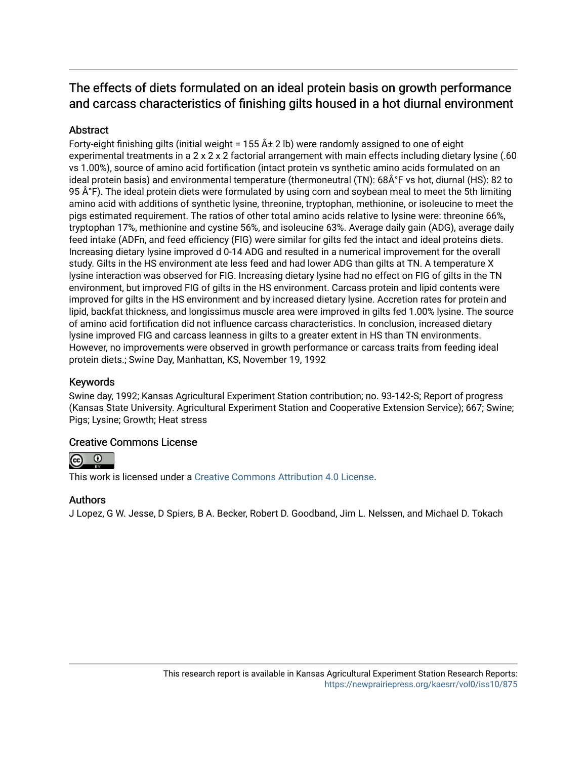# The effects of diets formulated on an ideal protein basis on growth performance and carcass characteristics of finishing gilts housed in a hot diurnal environment

# **Abstract**

Forty-eight finishing gilts (initial weight = 155  $\hat{A}$   $\pm$  2 lb) were randomly assigned to one of eight experimental treatments in a 2 x 2 x 2 factorial arrangement with main effects including dietary lysine (.60 vs 1.00%), source of amino acid fortification (intact protein vs synthetic amino acids formulated on an ideal protein basis) and environmental temperature (thermoneutral (TN): 68°F vs hot, diurnal (HS): 82 to 95 ŰF). The ideal protein diets were formulated by using corn and soybean meal to meet the 5th limiting amino acid with additions of synthetic lysine, threonine, tryptophan, methionine, or isoleucine to meet the pigs estimated requirement. The ratios of other total amino acids relative to lysine were: threonine 66%, tryptophan 17%, methionine and cystine 56%, and isoleucine 63%. Average daily gain (ADG), average daily feed intake (ADFn, and feed efficiency (FIG) were similar for gilts fed the intact and ideal proteins diets. Increasing dietary lysine improved d 0-14 ADG and resulted in a numerical improvement for the overall study. Gilts in the HS environment ate less feed and had lower ADG than gilts at TN. A temperature X lysine interaction was observed for FIG. Increasing dietary lysine had no effect on FIG of gilts in the TN environment, but improved FIG of gilts in the HS environment. Carcass protein and lipid contents were improved for gilts in the HS environment and by increased dietary lysine. Accretion rates for protein and lipid, backfat thickness, and longissimus muscle area were improved in gilts fed 1.00% lysine. The source of amino acid fortification did not influence carcass characteristics. In conclusion, increased dietary lysine improved FIG and carcass leanness in gilts to a greater extent in HS than TN environments. However, no improvements were observed in growth performance or carcass traits from feeding ideal protein diets.; Swine Day, Manhattan, KS, November 19, 1992

## Keywords

Swine day, 1992; Kansas Agricultural Experiment Station contribution; no. 93-142-S; Report of progress (Kansas State University. Agricultural Experiment Station and Cooperative Extension Service); 667; Swine; Pigs; Lysine; Growth; Heat stress

### Creative Commons License



This work is licensed under a [Creative Commons Attribution 4.0 License](https://creativecommons.org/licenses/by/4.0/).

### Authors

J Lopez, G W. Jesse, D Spiers, B A. Becker, Robert D. Goodband, Jim L. Nelssen, and Michael D. Tokach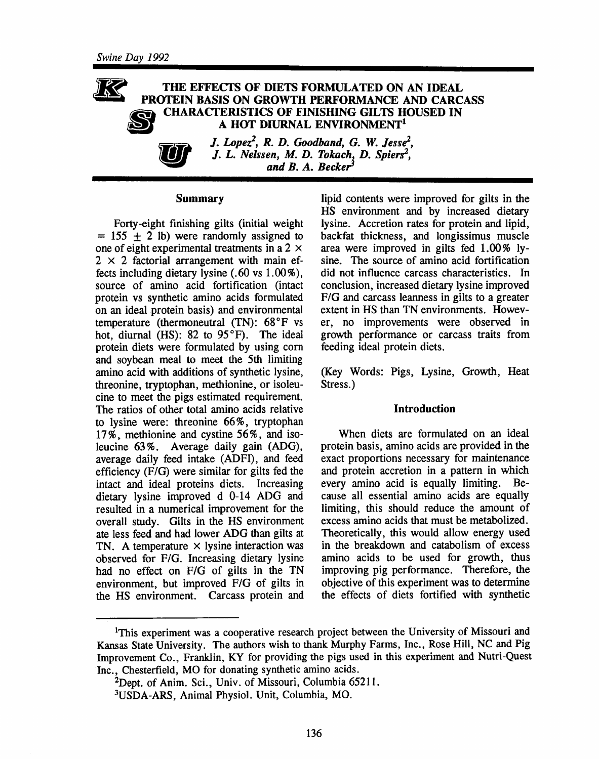

J. Lopez<sup>2</sup>, R. D. Goodband, G. W. Jesse<sup>2</sup>, J. L. Nelssen, M. D. Tokach, D. Spiers<sup>2</sup>, and  $B. A.$  Becker<sup>3</sup>

#### **Summary**

Forty-eight finishing gilts (initial weight  $= 155 \pm 2$  lb) were randomly assigned to one of eight experimental treatments in a 2  $\times$  $2 \times 2$  factorial arrangement with main effects including dietary lysine  $(.60 \text{ vs } 1.00\%)$ , source of amino acid fortification (intact protein vs synthetic amino acids formulated on an ideal protein basis) and environmental temperature (thermoneutral (TN): 68°F vs hot, diurnal (HS): 82 to 95°F). The ideal protein diets were formulated by using corn and soybean meal to meet the 5th limiting amino acid with additions of synthetic lysine, threonine, tryptophan, methionine, or isoleucine to meet the pigs estimated requirement. The ratios of other total amino acids relative to lysine were: threonine 66%, tryptophan 17%, methionine and cystine 56%, and isoleucine 63%. Average daily gain (ADG), average daily feed intake (ADFI), and feed efficiency  $(F/G)$  were similar for gilts fed the intact and ideal proteins diets. Increasing dietary lysine improved d 0-14 ADG and resulted in a numerical improvement for the overall study. Gilts in the HS environment ate less feed and had lower ADG than gilts at TN. A temperature  $\times$  lysine interaction was observed for F/G. Increasing dietary lysine had no effect on F/G of gilts in the TN environment, but improved F/G of gilts in the HS environment. Carcass protein and lipid contents were improved for gilts in the HS environment and by increased dietary lysine. Accretion rates for protein and lipid, backfat thickness, and longissimus muscle area were improved in gilts fed 1.00% lysine. The source of amino acid fortification did not influence carcass characteristics. In conclusion, increased dietary lysine improved F/G and carcass leanness in gilts to a greater extent in HS than TN environments. However, no improvements were observed in growth performance or carcass traits from feeding ideal protein diets.

(Key Words: Pigs, Lysine, Growth, Heat Stress.)

#### **Introduction**

When diets are formulated on an ideal protein basis, amino acids are provided in the exact proportions necessary for maintenance and protein accretion in a pattern in which every amino acid is equally limiting. Because all essential amino acids are equally limiting, this should reduce the amount of excess amino acids that must be metabolized. Theoretically, this would allow energy used in the breakdown and catabolism of excess amino acids to be used for growth, thus improving pig performance. Therefore, the objective of this experiment was to determine the effects of diets fortified with synthetic

<sup>&</sup>lt;sup>1</sup>This experiment was a cooperative research project between the University of Missouri and Kansas State University. The authors wish to thank Murphy Farms, Inc., Rose Hill, NC and Pig Improvement Co., Franklin, KY for providing the pigs used in this experiment and Nutri-Quest Inc., Chesterfield, MO for donating synthetic amino acids.

<sup>&</sup>lt;sup>2</sup>Dept. of Anim. Sci., Univ. of Missouri, Columbia 65211.

<sup>&</sup>lt;sup>3</sup>USDA-ARS, Animal Physiol. Unit, Columbia, MO.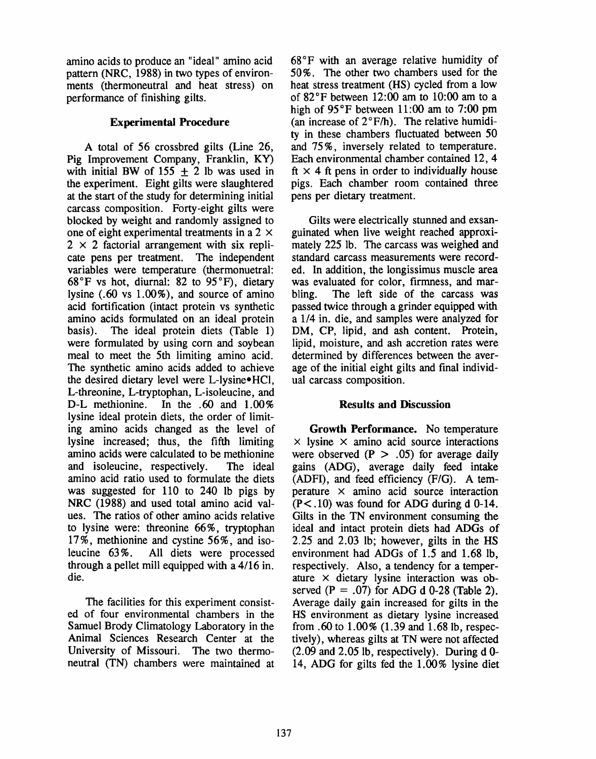amino acids to produce an "ideal" amino acid pattern (NRC, 1988) in two types of environments (thermoneutral and heat stress) on performance of finishing gilts.

#### **Experimental Procedure**

A total of 56 crossbred gilts (Line 26, Pig Improvement Company, Franklin, KY) with initial BW of 155  $\pm$  2 lb was used in the experiment. Eight gilts were slaughtered at the start of the study for determining initial carcass composition. Forty-eight gilts were blocked by weight and randomly assigned to one of eight experimental treatments in a 2  $\times$  $2 \times 2$  factorial arrangement with six replicate pens per treatment. The independent variables were temperature (thermonuetral:  $68^{\circ}$ F vs hot, diurnal: 82 to 95 $^{\circ}$ F), dietary lysine  $(.60 \text{ vs } 1.00\%)$ , and source of amino acid fortification (intact protein vs synthetic amino acids formulated on an ideal protein basis). The ideal protein diets (Table 1) were formulated by using corn and soybean meal to meet the 5th limiting amino acid. The synthetic amino acids added to achieve the desired dietary level were L-lysine•HCl, L-threonine, L-tryptophan, L-isoleucine, and In the .60 and  $1.00\%$ D-L methionine. lysine ideal protein diets, the order of limiting amino acids changed as the level of lysine increased; thus, the fifth limiting amino acids were calculated to be methionine and isoleucine, respectively. The ideal amino acid ratio used to formulate the diets was suggested for 110 to 240 lb pigs by NRC (1988) and used total amino acid values. The ratios of other amino acids relative to lysine were: threonine 66%, tryptophan 17%, methionine and cystine 56%, and isoleucine  $63\%$ . All diets were processed through a pellet mill equipped with a 4/16 in. die.

The facilities for this experiment consisted of four environmental chambers in the Samuel Brody Climatology Laboratory in the Animal Sciences Research Center at the University of Missouri. The two thermoneutral (TN) chambers were maintained at 68°F with an average relative humidity of 50%. The other two chambers used for the heat stress treatment (HS) cycled from a low of  $82^{\circ}$ F between 12:00 am to 10:00 am to a high of  $95^{\circ}$ F between 11:00 am to 7:00 pm (an increase of 2°F/h). The relative humidity in these chambers fluctuated between 50 and 75%, inversely related to temperature. Each environmental chamber contained 12, 4 ft  $\times$  4 ft pens in order to individually house pigs. Each chamber room contained three pens per dietary treatment.

Gilts were electrically stunned and exsanguinated when live weight reached approximately 225 lb. The carcass was weighed and standard carcass measurements were recorded. In addition, the longissimus muscle area was evaluated for color, firmness, and mar-The left side of the carcass was bling. passed twice through a grinder equipped with a 1/4 in. die, and samples were analyzed for DM, CP, lipid, and ash content. Protein, lipid, moisture, and ash accretion rates were determined by differences between the average of the initial eight gilts and final individual carcass composition.

#### **Results and Discussion**

Growth Performance. No temperature  $\times$  lysine  $\times$  amino acid source interactions were observed  $(P > .05)$  for average daily gains (ADG), average daily feed intake (ADFI), and feed efficiency (F/G). A temperature  $\times$  amino acid source interaction  $(P<.10)$  was found for ADG during d 0-14. Gilts in the TN environment consuming the ideal and intact protein diets had ADGs of 2.25 and 2.03 lb; however, gilts in the HS environment had ADGs of 1.5 and 1.68 lb. respectively. Also, a tendency for a temperature  $\times$  dietary lysine interaction was observed  $(P = .07)$  for ADG d 0-28 (Table 2). Average daily gain increased for gilts in the HS environment as dietary lysine increased from .60 to  $1.00\%$  (1.39 and 1.68 lb, respectively), whereas gilts at TN were not affected  $(2.09$  and  $2.05$  lb, respectively). During d 0-14, ADG for gilts fed the 1.00% lysine diet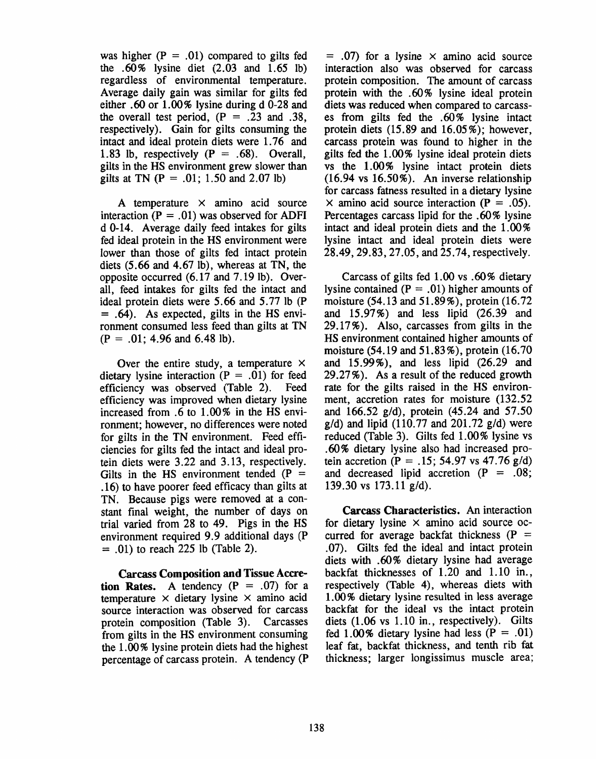was higher  $(P = .01)$  compared to gilts fed the  $.60\%$  lysine diet  $(2.03 \text{ and } 1.65 \text{ lb})$ regardless of environmental temperature. Average daily gain was similar for gilts fed either .60 or 1.00% lysine during d 0-28 and the overall test period,  $(P = .23$  and .38, respectively). Gain for gilts consuming the intact and ideal protein diets were 1.76 and 1.83 lb, respectively  $(P = .68)$ . Overall, gilts in the HS environment grew slower than gilts at TN  $(P = .01; 1.50$  and 2.07 lb)

A temperature  $\times$  amino acid source interaction ( $P = .01$ ) was observed for ADFI d 0-14. Average daily feed intakes for gilts fed ideal protein in the HS environment were lower than those of gilts fed intact protein diets  $(5.66$  and  $4.67$  lb), whereas at TN, the opposite occurred (6.17 and 7.19 lb). Overall, feed intakes for gilts fed the intact and ideal protein diets were 5.66 and 5.77 lb (P)  $= .64$ ). As expected, gilts in the HS environment consumed less feed than gilts at TN  $(P = .01; 4.96$  and 6.48 lb).

Over the entire study, a temperature  $\times$ dietary lysine interaction  $(P = .01)$  for feed efficiency was observed (Table 2). Feed efficiency was improved when dietary lysine increased from .6 to 1.00% in the HS environment; however, no differences were noted for gilts in the TN environment. Feed efficiencies for gilts fed the intact and ideal protein diets were 3.22 and 3.13, respectively. Gilts in the HS environment tended ( $P =$ .16) to have poorer feed efficacy than gilts at TN. Because pigs were removed at a constant final weight, the number of days on trial varied from 28 to 49. Pigs in the HS environment required 9.9 additional days (P  $= .01$ ) to reach 225 lb (Table 2).

**Carcass Composition and Tissue Accre**tion Rates. A tendency  $(P = .07)$  for a temperature  $\times$  dietary lysine  $\times$  amino acid source interaction was observed for carcass protein composition (Table 3). Carcasses from gilts in the HS environment consuming the 1.00% lysine protein diets had the highest percentage of carcass protein. A tendency (P

 $= .07$ ) for a lysine  $\times$  amino acid source interaction also was observed for carcass protein composition. The amount of carcass protein with the .60% lysine ideal protein diets was reduced when compared to carcasses from gilts fed the .60% lysine intact protein diets  $(15.89 \text{ and } 16.05\%)$ ; however, carcass protein was found to higher in the gilts fed the 1.00% lysine ideal protein diets vs the 1.00% lysine intact protein diets  $(16.94 \text{ vs } 16.50\%)$ . An inverse relationship for carcass fatness resulted in a dietary lysine  $\times$  amino acid source interaction (P = .05). Percentages carcass lipid for the .60% lysine intact and ideal protein diets and the  $1.00\%$ lysine intact and ideal protein diets were 28.49, 29.83, 27.05, and 25.74, respectively.

Carcass of gilts fed 1.00 vs .60% dietary lysine contained ( $P = .01$ ) higher amounts of moisture (54.13 and 51.89%), protein (16.72) and  $15.97\%$ ) and less lipid  $(26.39$  and 29.17%). Also, carcasses from gilts in the HS environment contained higher amounts of moisture  $(54.19 \text{ and } 51.83\%)$ , protein  $(16.70$ and  $15.99\%$ ), and less lipid  $(26.29$  and 29.27%). As a result of the reduced growth rate for the gilts raised in the HS environment, accretion rates for moisture (132.52) and 166.52  $g/d$ ), protein (45.24 and 57.50  $g/d$ ) and lipid (110.77 and 201.72  $g/d$ ) were reduced (Table 3). Gilts fed 1.00% lysine vs .60% dietary lysine also had increased protein accretion (P = .15; 54.97 vs 47.76 g/d) and decreased lipid accretion ( $P = .08$ ) 139.30 vs  $173.11$  g/d).

**Carcass Characteristics.** An interaction for dietary lysine  $\times$  amino acid source occurred for average backfat thickness ( $P =$ .07). Gilts fed the ideal and intact protein diets with .60% dietary lysine had average backfat thicknesses of 1.20 and 1.10 in., respectively (Table 4), whereas diets with 1.00% dietary lysine resulted in less average backfat for the ideal vs the intact protein diets  $(1.06 \text{ vs } 1.10 \text{ in.}, \text{ respectively})$ . Gilts fed 1.00% dietary lysine had less ( $P = .01$ ) leaf fat, backfat thickness, and tenth rib fat thickness; larger longissimus muscle area;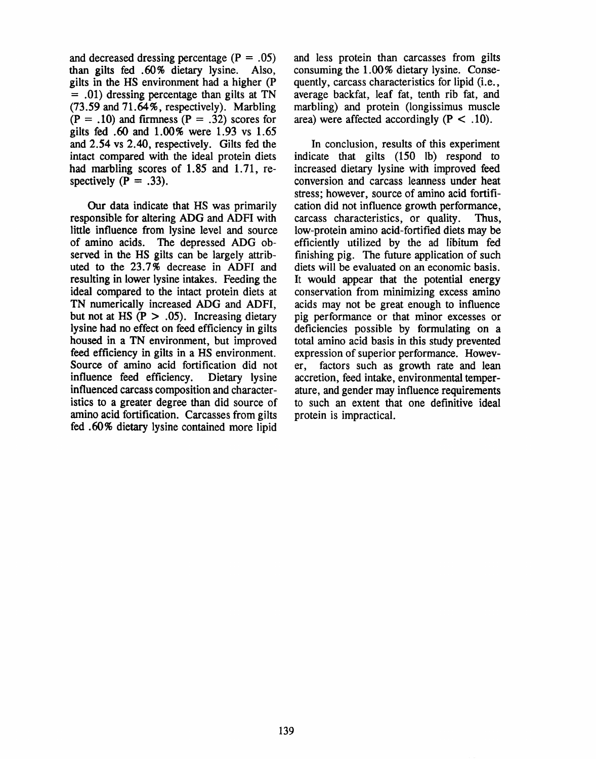and decreased dressing percentage  $(P = .05)$ than gilts fed .60% dietary lysine. Also, gilts in the HS environment had a higher (P  $=$  .01) dressing percentage than gilts at TN (73.59 and 71.64%, respectively). Marbling  $(P = .10)$  and firmness  $(P = .32)$  scores for gilts fed .60 and 1.00% were 1.93 vs 1.65 and 2.54 vs 2.40, respectively. Gilts fed the intact compared with the ideal protein diets had marbling scores of 1.85 and 1.71, respectively  $(P = .33)$ .

Our data indicate that HS was primarily responsible for altering ADG and ADFI with little influence from lysine level and source of amino acids. The depressed ADG observed in the HS gilts can be largely attributed to the 23.7% decrease in ADFI and resulting in lower lysine intakes. Feeding the ideal compared to the intact protein diets at TN numerically increased ADG and ADFI, but not at HS  $(P > .05)$ . Increasing dietary lysine had no effect on feed efficiency in gilts housed in a TN environment, but improved feed efficiency in gilts in a HS environment. Source of amino acid fortification did not influence feed efficiency. Dietary lysine influenced carcass composition and characteristics to a greater degree than did source of amino acid fortification. Carcasses from gilts fed .60% dietary lysine contained more lipid

and less protein than carcasses from gilts consuming the 1.00% dietary lysine. Consequently, carcass characteristics for lipid (*i.e.*, average backfat, leaf fat, tenth rib fat, and marbling) and protein (longissimus muscle area) were affected accordingly ( $P < .10$ ).

In conclusion, results of this experiment indicate that gilts (150 lb) respond to increased dietary lysine with improved feed conversion and carcass leanness under heat stress; however, source of amino acid fortification did not influence growth performance, carcass characteristics, or quality. Thus. low-protein amino acid-fortified diets may be efficiently utilized by the ad libitum fed finishing pig. The future application of such diets will be evaluated on an economic basis. It would appear that the potential energy conservation from minimizing excess amino acids may not be great enough to influence pig performance or that minor excesses or deficiencies possible by formulating on a total amino acid basis in this study prevented expression of superior performance. Howevfactors such as growth rate and lean er, accretion, feed intake, environmental temperature, and gender may influence requirements to such an extent that one definitive ideal protein is impractical.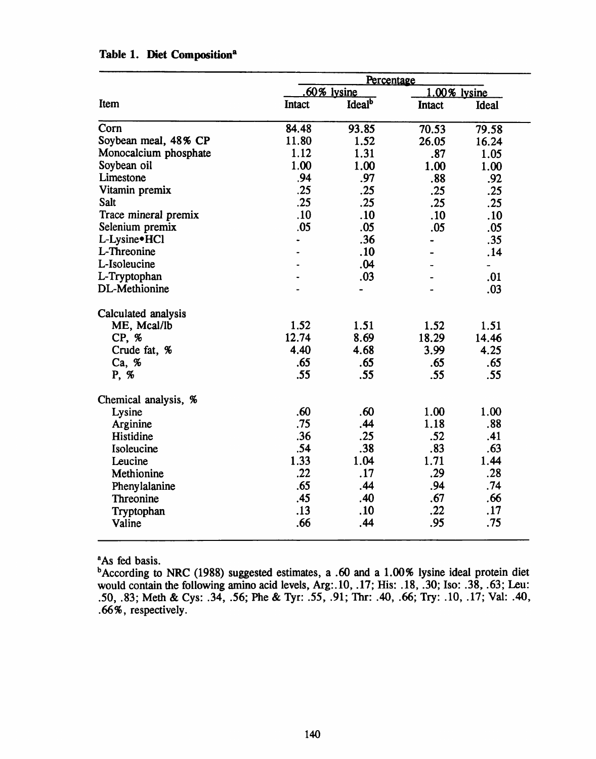|        |                           | 1.00% lysine  |            |  |  |  |
|--------|---------------------------|---------------|------------|--|--|--|
| Intact | <b>Ideal</b> <sup>b</sup> | <b>Intact</b> | Ideal      |  |  |  |
| 84.48  | 93.85                     | 70.53         | 79.58      |  |  |  |
| 11.80  | 1.52                      | 26.05         | 16.24      |  |  |  |
| 1.12   | 1.31                      | .87           | 1.05       |  |  |  |
| 1.00   | 1.00                      | 1.00          | 1.00       |  |  |  |
| .94    | .97                       | .88           | .92        |  |  |  |
| .25    | .25                       | .25           | .25        |  |  |  |
| .25    | .25                       | .25           | .25        |  |  |  |
| .10    | .10                       | .10           | .10        |  |  |  |
| .05    | .05                       | .05           | .05        |  |  |  |
|        | .36                       |               | .35        |  |  |  |
|        | .10                       |               | .14        |  |  |  |
|        | .04                       |               |            |  |  |  |
|        | .03                       |               | .01        |  |  |  |
|        |                           |               | .03        |  |  |  |
|        |                           |               |            |  |  |  |
| 1.52   | 1.51                      | 1.52          | 1.51       |  |  |  |
| 12.74  | 8.69                      | 18.29         | 14.46      |  |  |  |
| 4.40   | 4.68                      | 3.99          | 4.25       |  |  |  |
| .65    | .65                       | .65           | .65        |  |  |  |
| .55    | .55                       | .55           | .55        |  |  |  |
|        |                           |               |            |  |  |  |
| .60    | .60                       | 1.00          | 1.00       |  |  |  |
| .75    | .44                       | 1.18          | .88        |  |  |  |
| .36    | .25                       | .52           | .41        |  |  |  |
| .54    | .38                       | .83           | .63        |  |  |  |
| 1.33   | 1.04                      | 1.71          | 1.44       |  |  |  |
| .22    | .17                       | .29           | .28        |  |  |  |
| .65    | .44                       | .94           | .74        |  |  |  |
| .45    | .40                       | .67           | .66        |  |  |  |
| .13    | .10                       | .22           | .17        |  |  |  |
| .66    | .44                       | .95           | .75        |  |  |  |
|        |                           | $60\%$ lysine | Percentage |  |  |  |

## Table 1. Diet Composition<sup>a</sup>

<sup>a</sup>As fed basis.

<sup>b</sup>According to NRC (1988) suggested estimates, a .60 and a 1.00% lysine ideal protein diet would contain the following amino acid levels, Arg: 10, .17; His: .18, .30; Iso: .38, .63; Leu: .50, .83; Meth & Cys: .34, .56; Phe & Tyr: .55, .91; Thr: .40, .66; Try: .10, .17; Val: .40, .66%, respectively.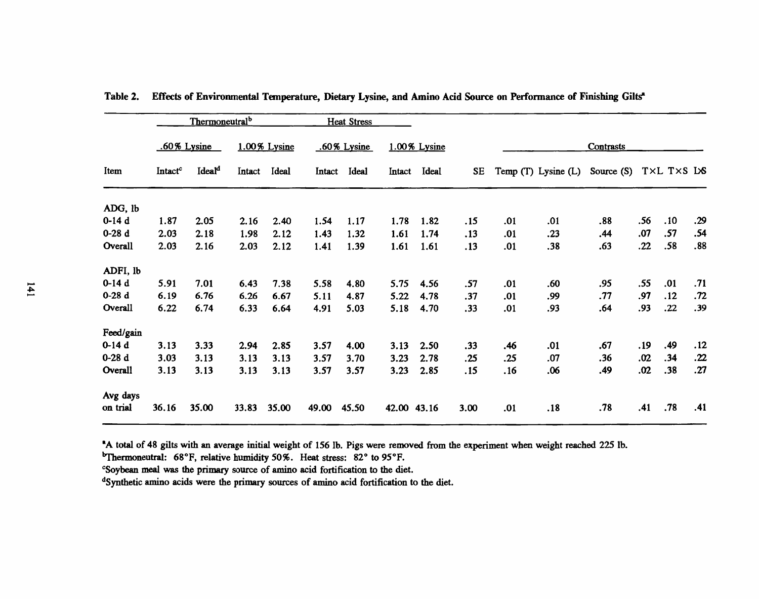| Item      |                     | Thermoneutral <sup>b</sup> |              |       |        | <b>Heat Stress</b> |             |              |      |           |                         |              |     |            |     |
|-----------|---------------------|----------------------------|--------------|-------|--------|--------------------|-------------|--------------|------|-----------|-------------------------|--------------|-----|------------|-----|
|           | .60% Lysine         |                            | 1.00% Lysine |       |        | .60% Lysine        |             | 1.00% Lysine |      | Contrasts |                         |              |     |            |     |
|           | Intact <sup>c</sup> | Ideal <sup>d</sup>         | Intact       | Ideal | Intact | <b>Ideal</b>       | Intact      | Ideal        | SE   |           | Temp $(T)$ Lysine $(L)$ | Source $(S)$ |     | TXL TXS LS |     |
| ADG, lb   |                     |                            |              |       |        |                    |             |              |      |           |                         |              |     |            |     |
| $0-14d$   | 1.87                | 2.05                       | 2.16         | 2.40  | 1.54   | 1.17               | 1.78        | 1.82         | .15  | .01       | .01                     | .88          | .56 | .10        | .29 |
| $0-28d$   | 2.03                | 2.18                       | 1.98         | 2.12  | 1.43   | 1.32               | 1.61        | 1.74         | .13  | .01       | .23                     | .44          | .07 | .57        | .54 |
| Overall   | 2.03                | 2.16                       | 2.03         | 2.12  | 1.41   | 1.39               | 1.61        | 1.61         | .13  | .01       | .38                     | .63          | .22 | .58        | .88 |
| ADFI, lb  |                     |                            |              |       |        |                    |             |              |      |           |                         |              |     |            |     |
| $0-14d$   | 5.91                | 7.01                       | 6.43         | 7.38  | 5.58   | 4.80               | 5.75        | 4.56         | .57  | .01       | .60                     | .95          | .55 | .01        | .71 |
| $0-28d$   | 6.19                | 6.76                       | 6.26         | 6.67  | 5.11   | 4.87               | 5.22        | 4.78         | .37  | .01       | .99                     | .77          | .97 | .12        | .72 |
| Overall   | 6.22                | 6.74                       | 6.33         | 6.64  | 4.91   | 5.03               | 5.18        | 4.70         | .33  | .01       | .93                     | .64          | .93 | .22        | .39 |
| Feed/gain |                     |                            |              |       |        |                    |             |              |      |           |                         |              |     |            |     |
| $0-14d$   | 3.13                | 3.33                       | 2.94         | 2.85  | 3.57   | 4.00               | 3.13        | 2.50         | .33  | .46       | .01                     | .67          | .19 | .49        | .12 |
| $0-28d$   | 3.03                | 3.13                       | 3.13         | 3.13  | 3.57   | 3.70               | 3.23        | 2.78         | .25  | .25       | .07                     | .36          | .02 | .34        | .22 |
| Overall   | 3.13                | 3.13                       | 3.13         | 3.13  | 3.57   | 3.57               | 3.23        | 2.85         | .15  | . 16      | .06                     | .49          | .02 | .38        | .27 |
| Avg days  |                     |                            |              |       |        |                    |             |              |      |           |                         |              |     |            |     |
| on trial  | 36.16               | 35.00                      | 33.83        | 35.00 | 49.00  | 45.50              | 42.00 43.16 |              | 3.00 | .01       | .18                     | .78          | .41 | .78        | .41 |

Table 2. Effects of Environmental Temperature, Dietary Lysine, and Amino Acid Source on Performance of Finishing Gilts<sup>\*</sup>

"A total of 48 gilts with an average initial weight of 156 lb. Pigs were removed from the experiment when weight reached 225 lb.

<sup>b</sup>Thermoneutral: 68°F, relative humidity 50%. Heat stress: 82° to 95°F.

"Soybean meal was the primary source of amino acid fortification to the diet.

<sup>d</sup>Synthetic amino acids were the primary sources of amino acid fortification to the diet.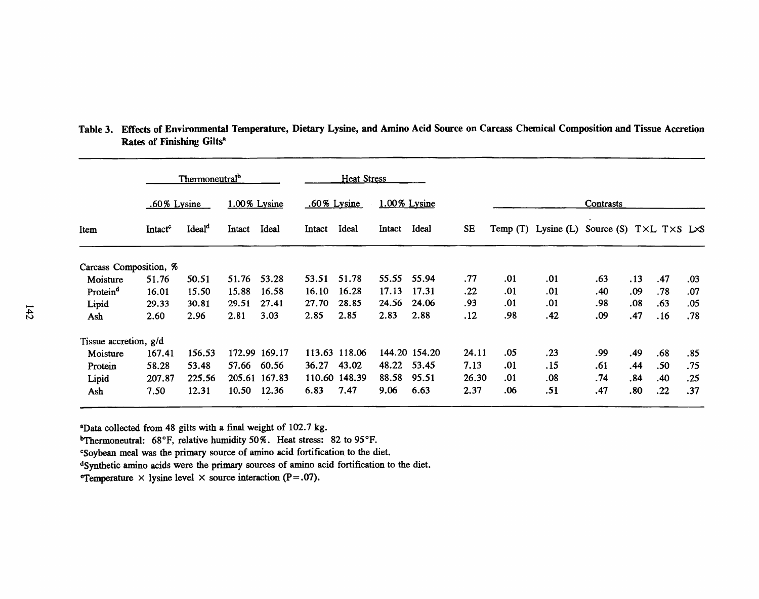|                        |                     | Thermoneutral <sup>b</sup><br><b>Heat Stress</b> |        |               |        |                |        |               |           |                  |                         |                                                   |     |     |     |  |
|------------------------|---------------------|--------------------------------------------------|--------|---------------|--------|----------------|--------|---------------|-----------|------------------|-------------------------|---------------------------------------------------|-----|-----|-----|--|
|                        |                     | $.60\%$ Lysine                                   |        | 1.00% Lysine  |        | $.60\%$ Lysine |        | 1.00% Lysine  |           | <b>Contrasts</b> |                         |                                                   |     |     |     |  |
| Item                   | Intact <sup>c</sup> | Ideal <sup>d</sup>                               | Intact | Ideal         | Intact | Ideal          | Intact | Ideal         | <b>SE</b> |                  | Temp $(T)$ Lysine $(L)$ | Source (S) $T \times L$ $T \times S$ $L \times S$ |     |     |     |  |
| Carcass Composition, % |                     |                                                  |        |               |        |                |        |               |           |                  |                         |                                                   |     |     |     |  |
| Moisture               | 51.76               | 50.51                                            | 51.76  | 53.28         | 53.51  | 51.78          | 55.55  | 55.94         | .77       | .01              | .01                     | .63                                               | .13 | .47 | .03 |  |
| Protein <sup>d</sup>   | 16.01               | 15.50                                            | 15.88  | 16.58         | 16.10  | 16.28          | 17.13  | 17.31         | .22       | .01              | .01                     | .40                                               | .09 | .78 | .07 |  |
| Lipid                  | 29.33               | 30.81                                            | 29.51  | 27.41         | 27.70  | 28.85          | 24.56  | 24.06         | .93       | .01              | .01                     | .98                                               | .08 | .63 | .05 |  |
| Ash                    | 2.60                | 2.96                                             | 2.81   | 3.03          | 2.85   | 2.85           | 2.83   | 2.88          | .12       | .98              | .42                     | .09                                               | .47 | .16 | .78 |  |
| Tissue accretion, g/d  |                     |                                                  |        |               |        |                |        |               |           |                  |                         |                                                   |     |     |     |  |
| Moisture               | 167.41              | 156.53                                           |        | 172.99 169.17 |        | 113.63 118.06  |        | 144.20 154.20 | 24.11     | .05              | .23                     | .99                                               | .49 | .68 | .85 |  |
| Protein                | 58.28               | 53.48                                            | 57.66  | 60.56         | 36.27  | 43.02          | 48.22  | 53.45         | 7.13      | .01              | . 15                    | .61                                               | .44 | .50 | .75 |  |
| Lipid                  | 207.87              | 225.56                                           |        | 205.61 167.83 |        | 110.60 148.39  | 88.58  | 95.51         | 26.30     | .01              | .08                     | .74                                               | .84 | .40 | .25 |  |
| Ash                    | 7.50                | 12.31                                            | 10.50  | 12.36         | 6.83   | 7.47           | 9.06   | 6.63          | 2.37      | .06              | .51                     | .47                                               | .80 | .22 | .37 |  |

Table 3. Effects of Environmental Temperature, Dietary Lysine, and Amino Acid Source on Carcass Chemical Composition and Tissue Accretion Rates of Finishing Gilts<sup>a</sup>

<sup>a</sup>Data collected from 48 gilts with a final weight of 102.7 kg.

<sup>b</sup>Thermoneutral: 68°F, relative humidity 50%. Heat stress: 82 to 95°F.

"Soybean meal was the primary source of amino acid fortification to the diet.

dSynthetic amino acids were the primary sources of amino acid fortification to the diet.

**Temperature**  $\times$  lysine level  $\times$  source interaction (P=.07).